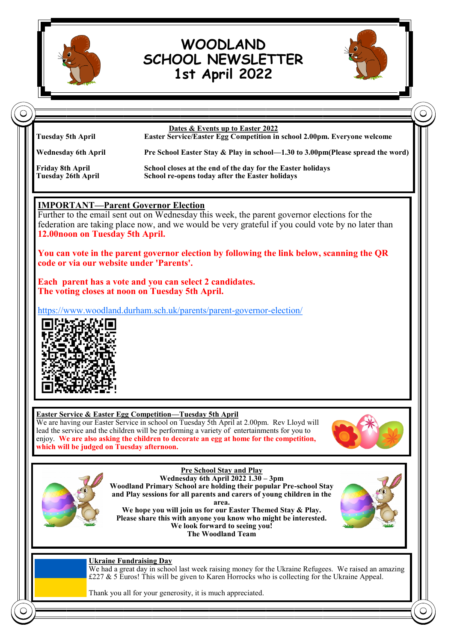

# **WOODLAND SCHOOL NEWSLETTER 1st April 2022**





Thank you all for your generosity, it is much appreciated.